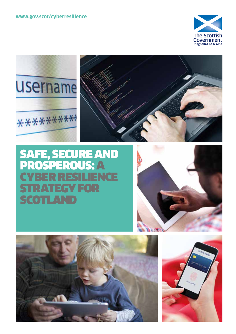





SAFE, SECURE AND PROSPEROUS: A ESILIENCE **TRATEGY FOR SCOTLAND** 





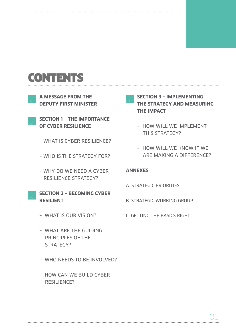# **CONTENTS**

### **A MESSAGE FROM THE DEPUTY FIRST MINISTER**

#### 02 **SECTION 1 – THE IMPORTANCE OF CYBER RESILIENCE**

- WHAT IS CYBER RESILIENCE?
- WHO IS THE STRATEGY FOR?
- WHY DO WE NEED A CYBER RESILIENCE STRATEGY?
- 03 **SECTION 2 – BECOMING CYBER RESILIENT**
	- WHAT IS OUR VISION?
	- WHAT ARE THE GUIDING PRINCIPLES OF THE STRATEGY?
	- WHO NEEDS TO BE INVOLVED?
	- HOW CAN WE BUILD CYBER RESILIENCE?

**SECTION 3 – IMPLEMENTING THE STRATEGY AND MEASURING THE IMPACT**

- HOW WILL WE IMPLEMENT THIS STRATEGY?
- HOW WILL WE KNOW IF WE ARE MAKING A DIFFERENCE?

#### **ANNEXES**

A. STRATEGIC PRIORITIES

- B. STRATEGIC WORKING GROUP
- C. GETTING THE BASICS RIGHT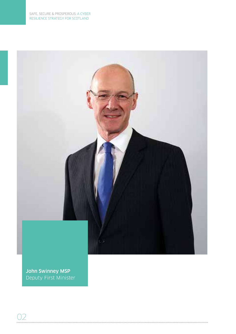

John Swinney MSP Deputy First Minister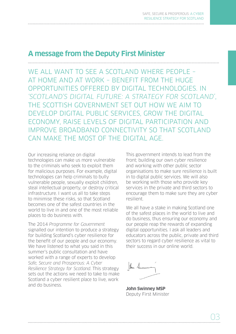### **A message from the Deputy First Minister**

WE ALL WANT TO SEE A SCOTLAND WHERE PEOPLE – AT HOME AND AT WORK – BENEFIT FROM THE HUGE OPPORTUNITIES OFFERED BY DIGITAL TECHNOLOGIES. IN 'SCOTLAND'S DIGITAL FUTURE: A STRATEGY FOR SCOTLAND', THE SCOTTISH GOVERNMENT SET OUT HOW WE AIM TO DEVELOP DIGITAL PUBLIC SERVICES, GROW THE DIGITAL ECONOMY, RAISE LEVELS OF DIGITAL PARTICIPATION AND IMPROVE BROADBAND CONNECTIVITY SO THAT SCOTLAND CAN MAKE THE MOST OF THE DIGITAL AGE.

Our increasing reliance on digital technologies can make us more vulnerable to the criminals who seek to exploit them for malicious purposes. For example, digital technologies can help criminals to bully vulnerable people, sexually exploit children, steal intellectual property, or destroy critical infrastructure. I want us all to take steps to minimise these risks, so that Scotland becomes one of the safest countries in the world to live in and one of the most reliable places to do business with.

The 2014 Programme for Government signalled our intention to produce a strategy for building Scotland's cyber resilience for the benefit of our people and our economy. We have listened to what you said in this summer's public consultation and have worked with a range of experts to develop Safe, Secure and Prosperous: A Cyber Resilience Strategy for Scotland. This strategy sets out the actions we need to take to make Scotland a cyber resilient place to live, work and do business.

This government intends to lead from the front; building our own cyber resilience and working with other public sector organisations to make sure resilience is built in to digital public services. We will also be working with those who provide key services in the private and third sectors to encourage them to make sure they are cyber resilient.

We all have a stake in making Scotland one of the safest places in the world to live and do business, thus ensuring our economy and our people reap the rewards of expanding digital opportunities. I ask all leaders and educators across the public, private and third sectors to regard cyber resilience as vital to their success in our online world.

She 1

**John Swinney MSP**  Deputy First Minister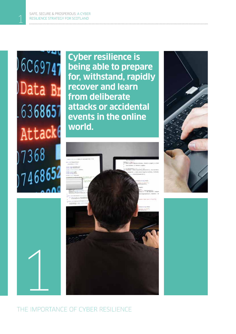1 SAFE, SECURE & PROSPEROUS: A CYBER RESILIENCE STRATEGY FOR SCOTLAND

)6C69747<br>)Data Br 6368657 **Attack6** 1368 7468652

1

**Cyber resilience is being able to prepare for, withstand, rapidly recover and learn from deliberate attacks or accidental events in the online world.**







### THE IMPORTANCE OF CYBER RESILIENCE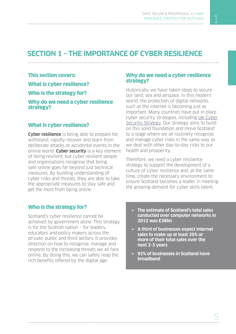# **SECTION 1 – THE IMPORTANCE OF CYBER RESILIENCE**

### This section covers: What is cyber resilience? Who is the strategy for? Why do we need a cyber resilience

## strategy?

#### What is cyber resilience?

**Cyber resilience** is being able to prepare for, withstand, rapidly recover and learn from deliberate attacks or accidental events in the online world. **Cyber security** is a key element of being resilient, but cyber resilient people and organisations recognise that being safe online goes far beyond just technical measures. By building understanding of cyber risks and threats, they are able to take the appropriate measures to stay safe and get the most from being online.

#### Why do we need a cyber resilience strategy?

Historically we have taken steps to secure our land, sea and airspace. In this modern world, the protection of digital networks such as the internet is becoming just as important. Many countries have put in place cyber security strategies, including [UK Cyber](https://www.gov.uk/government/uploads/system/uploads/attachment_data/file/60961/uk-cyber-security-strategy-final.pdf) [Security Strategy.](https://www.gov.uk/government/uploads/system/uploads/attachment_data/file/60961/uk-cyber-security-strategy-final.pdf) Our strategy aims to build on this solid foundation and move Scotland to a stage where we all routinely recognise and manage cyber risks in the same way as we deal with other day-to-day risks to our health and prosperity.

Therefore, we need a cyber resilience strategy to support the development of a culture of cyber resilience and, at the same time, create the necessary environment to ensure Scotland becomes a leader in meeting the growing demand for cyber skills talent.

#### Who is the strategy for?

Scotland's cyber resilience cannot be achieved by government alone. This strategy is for the Scottish nation – for leaders, educators and policy makers across the private, public and third sectors. It provides direction on how to recognise, manage and respond to the increasing threats we all face online. By doing this, we can safely reap the rich benefits offered by the digital age.

- **• The estimate of Scotland's total sales conducted over computer networks in 2012 was £38bn**
- **• A third of businesses expect internet sales to make up at least 20% or more of their total sales over the next 2-3 years**
- **• 92% of businesses in Scotland have broadband**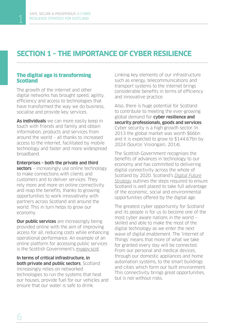# **SECTION 1 – THE IMPORTANCE OF CYBER RESILIENCE**

#### The digital age is transforming Scotland

The growth of the internet and other digital networks has brought speed, agility, efficiency and access to technologies that have transformed the way we do business, socialise and provide key services.

**As individuals** we can more easily keep in touch with friends and family and obtain information, products and services from around the world – all thanks to increased access to the internet, facilitated by mobile technology and faster and more widespread broadband.

**Enterprises – both the private and third sectors** – increasingly use online technology to make connections with clients and customers and to deliver services. They rely more and more on online connectivity and reap the benefits, thanks to growing opportunities to work innovatively with partners across Scotland and around the world. This in turn helps to grow our economy.

**Our public services** are increasingly being provided online with the aim of improving access for all, reducing costs while enhancing operational performance. An example of an online platform for accessing public services is the Scottish Government's [mygov.scot](http://www.mygov.scot/).

**In terms of critical infrastructure, in both private and public sectors**, Scotland increasingly relies on networked technologies to run the systems that heat our houses, provide fuel for our vehicles and ensure that our water is safe to drink.

Linking key elements of our infrastructure such as energy, telecommunications and transport systems to the internet brings considerable benefits in terms of efficiency and innovative practice.

Also, there is huge potential for Scotland to contribute to meeting the ever-growing global demand for **cyber resilience and security professionals, goods and services**. Cyber security is a high growth sector. In 2013 the global market was worth \$66bn and it is expected to grow to \$144.67bn by 2024 (Source: Visiongain, 2014).

The Scottish Government recognises the benefits of advances in technology to our economy and has committed to delivering digital connectivity across the whole of Scotland by 2020. Scotland's [Digital Future](http://www.gov.scot/resource/doc/981/0114237.pdf) [Strategy](http://www.gov.scot/resource/doc/981/0114237.pdf) outlines the steps required to ensure Scotland is well placed to take full advantage of the economic, social and environmental opportunities offered by the digital age.

The greatest cyber opportunity for Scotland and its people is for us to become one of the most cyber aware nations in the world – skilled and able to make the most of the digital technology as we enter the next wave of digital enablement. The 'Internet of Things' means that more of what we take for granted every day will be connected. From our personal and medical devices, through our domestic appliances and home automation systems, to the smart buildings and cities which form our built environment. This connectivity brings great opportunities, but is not without risks.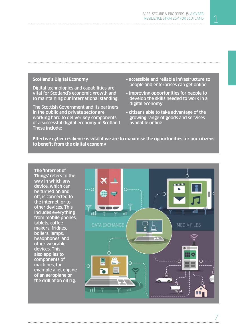#### **Scotland's Digital Economy**

Digital technologies and capabilities are vital for Scotland's economic growth and to maintaining our international standing.

The Scottish Government and its partners in the public and private sector are working hard to deliver key components of a successful digital economy in Scotland. These include:

- accessible and reliable infrastructure so people and enterprises can get online
- improving opportunities for people to develop the skills needed to work in a digital economy
- citizens able to take advantage of the growing range of goods and services available online

**Effective cyber resilience is vital if we are to maximise the opportunities for our citizens to benefit from the digital economy**

**The 'Internet of Things'** refers to the way in which any device, which can be turned on and off, is connected to the internet, or to other devices. This includes everything from mobile phones, tablets, coffee makers, fridges, boilers, lamps, headphones, and other wearable devices. This also applies to components of machines, for example a jet engine of an aeroplane or the drill of an oil rig.

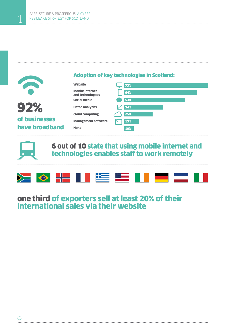



6 out of 10 state that using mobile internet and technologies enables staff to work remotely



### one third of exporters sell at least 20% of their international sales via their website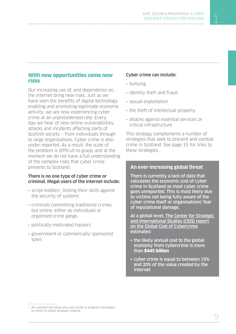#### With new opportunities come new risks

Our increasing use of, and dependence on, the internet bring new risks. Just as we have seen the benefits of digital technology enabling and promoting legitimate economic activity, we are now experiencing cyber crime at an unprecedented rate. Every day we hear of new online vulnerabilities, attacks and incidents affecting parts of Scottish society – from individuals through to large organisations. Cyber crime is also under-reported. As a result, the scale of the problem is difficult to grasp, and at the moment we do not have a full understanding of the complex risks that cyber crime presents to Scotland.

#### **There is no one type of cyber crime or criminal. Illegal users of the internet include:**

- script-kiddies<sup>1</sup>, testing their skills against the security of systems
- criminals committing traditional crimes, but online, either as individuals or organised crime gangs
- politically-motivated hackers
- government or commercially-sponsored spies

#### **Cyber crime can include:**

- bullying
- identity theft and fraud
- sexual exploitation
- the theft of intellectual property
- attacks against essential services or critical infrastructure

This strategy complements a number of strategies that seek to prevent and combat crime in Scotland. See page 15 for links to these strategies.

#### **An ever-increasing global threat**

There is currently a lack of data that calculates the economic cost of cyber crime in Scotland as most cyber crime goes unreported. This is most likely due to victims not being fully aware of the cyber crime itself or organisations' fear of reputational damage.

At a global level, [The Center for Strategic](http://csis.org/files/attachments/140609_rp_economic_impact_cybercrime_report.pdf)  [and International Studies \(CSIS\) report](http://csis.org/files/attachments/140609_rp_economic_impact_cybercrime_report.pdf) [on the Global Cost of Cybercrime](http://csis.org/files/attachments/140609_rp_economic_impact_cybercrime_report.pdf) estimates:

- the likely annual cost to the global economy from cybercrime is more than \$445 billion
- cyber crime is equal to between 15% and 20% of the value created by the internet

<sup>1</sup> An unskilled individual who uses scripts or programs developed by others to attack computer systems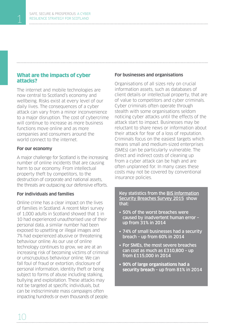#### What are the impacts of cyber attacks?

The internet and mobile technologies are now central to Scotland's economy and wellbeing. Risks exist at every level of our daily lives. The consequences of a cyber attack can vary from a minor inconvenience to a major disruption. The cost of cybercrime will continue to increase as more business functions move online and as more companies and consumers around the world connect to the internet.

#### **For our economy**

A major challenge for Scotland is the increasing number of online incidents that are causing harm to our economy. From intellectual property theft by competitors, to the destruction of corporate and national assets, the threats are outpacing our defensive efforts.

#### **For individuals and families**

Online crime has a clear impact on the lives of families in Scotland. A recent Mori survey of 1,000 adults in Scotland showed that 1 in 10 had experienced unauthorised use of their personal data, a similar number had been exposed to upsetting or illegal images and 7% had experienced abusive or threatening behaviour online. As our use of online technology continues to grow, we are at an increasing risk of becoming victims of criminal or unscrupulous behaviour online. We can fall foul of fraud or extortion, disclosure of personal information, identity theft or being subject to forms of abuse including stalking, bullying and exploitation. These attacks may not be targeted at specific individuals, but can be indiscriminate mass campaigns often impacting hundreds or even thousands of people.

#### **For businesses and organisations**

Organisations of all sizes rely on crucial information assets, such as databases of client details or intellectual property, that are of value to competitors and cyber criminals. Cyber criminals often operate through stealth with some organisations seldom noticing cyber attacks until the effects of the attack start to impact. Businesses may be reluctant to share news or information about their attack for fear of a loss of reputation. Criminals focus on the easiest targets which means small and medium-sized enterprises (SMEs) can be particularly vulnerable. The direct and indirect costs of cleaning up from a cyber attack can be high and are often unplanned for. In many cases these costs may not be covered by conventional insurance policies.

Key statistics from the [BIS Information](https://www.gov.uk/government/publications/information-security-breaches-survey-2015) [Security Breaches Survey 2015](https://www.gov.uk/government/publications/information-security-breaches-survey-2015) show that:

- 50% of the worst breaches were caused by inadvertent human error – up from 31% in 2014
- 74% of small businesses had a security breach – up from 60% in 2014
- For SMEs, the most severe breaches can cost as much as £310,800 – up from £115,000 in 2014
- **• 90% of large organisations had a security breach** – up from 81% in 2014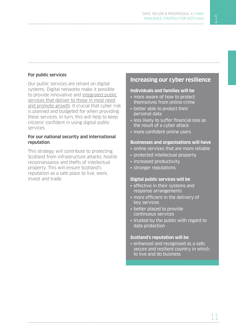#### **For public services**

Our public services are reliant on digital systems. Digital networks make it possible to provide innovative and [integrated public](http://www.gov.scot/Publications/2012/09/6272) [services that deliver to those in most need](http://www.gov.scot/Publications/2012/09/6272) [and promote growth](http://www.gov.scot/Publications/2012/09/6272). It crucial that cyber risk is planned and budgeted for when providing these services. In turn, this will help to keep citizens' confident in using digital public services.

#### **For our national security and international reputation**

This strategy will contribute to protecting Scotland from infrastructure attacks, hostile reconnaissance and thefts of intellectual property. This will ensure Scotland's reputation as a safe place to live, work, invest and trade.

#### **Increasing our cyber resilience**

#### **Individuals and families will be**

- more aware of how to protect themselves from online crime
- better able to protect their personal data
- less likely to suffer financial loss as the result of a cyber attack
- more confident online users

#### **Businesses and organisations will have**

- online services that are more reliable
- protected intellectual property
- increased productivity
- stronger reputations

#### **Digital public services will be**

- effective in their systems and response arrangements
- more efficient in the delivery of key services
- better placed to provide continuous services
- trusted by the public with regard to data protection

#### **Scotland's reputation will be**

• enhanced and recognised as a safe, secure and resilient country in which to live and do business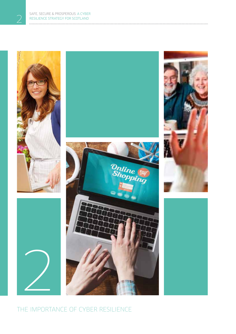









### THE IMPORTANCE OF CYBER RESILIENCE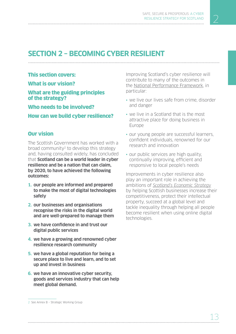## **SECTION 2 – BECOMING CYBER RESILIENT**

#### This section covers:

What is our vision?

What are the guiding principles of the strategy?

#### Who needs to be involved?

#### How can we build cyber resilience?

#### Our vision

The Scottish Government has worked with a broad community $2$  to develop this strategy and, having consulted widely, has concluded that **Scotland can be a world leader in cyber resilience and be a nation that can claim, by 2020, to have achieved the following outcomes:**

- **1. our people are informed and prepared to make the most of digital technologies safely**
- **2. our businesses and organisations recognise the risks in the digital world and are well-prepared to manage them**
- **3. we have confidence in and trust our digital public services**
- **4. we have a growing and renowned cyber resilience research community**
- **5. we have a global reputation for being a secure place to live and learn, and to set up and invest in business**
- **6. we have an innovative cyber security, goods and services industry that can help meet global demand.**

Improving Scotland's cyber resilience will contribute to many of the outcomes in the [National Performance Framework,](http://www.gov.scot/About/Performance/scotPerforms) in particular:

- we live our lives safe from crime, disorder and danger
- we live in a Scotland that is the most attractive place for doing business in Europe
- our young people are successful learners, confident individuals, renowned for our research and innovation
- our public services are high quality, continually improving, efficient and responsive to local people's needs

Improvements in cyber resilience also play an important role in achieving the ambitions of [Scotland's Economic Strategy](http://www.gov.scot/Publications/2015/03/5984) by helping Scottish businesses increase their competitiveness, protect their intellectual property, succeed at a global level and tackle inequality through helping all people become resilient when using online digital technologies.

<sup>2</sup> See Annex B – Strategic Working Group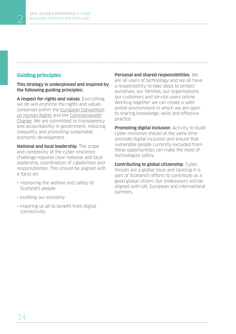#### Guiding principles

2

**This strategy is underpinned and inspired by the following guiding principles:** 

**A respect for rights and values**. Everything we do will enshrine the rights and values contained within the [European Convention](http://www.echr.coe.int/Documents/Convention_ENG.pdf) [on Human Rights](http://www.echr.coe.int/Documents/Convention_ENG.pdf) and the [Commonwealth](https://ccdcoe.org/sites/default/files/documents/CommW-140304-CommonwealthCybergovernanceModel.pdf) [Charter.](https://ccdcoe.org/sites/default/files/documents/CommW-140304-CommonwealthCybergovernanceModel.pdf) We are committed to transparency and accountability in government, reducing inequality and promoting sustainable economic development.

**National and local leadership**. The scope and complexity of the cyber resilience challenge requires clear national and local leadership, coordination of capabilities and responsibilities. This should be aligned with a focus on:

- improving the welfare and safety of Scotland's people
- building our economy
- inspiring us all to benefit from digital connectivity

**Personal and shared responsibilities**. We are all users of technology and we all have a responsibility to take steps to protect ourselves, our families, our organisations, our customers and service users online. Working together we can create a safer online environment in which we are open to sharing knowledge, skills and effective practice.

**Promoting digital inclusion**. Activity to build cyber resilience should at the same time promote digital inclusion and ensure that vulnerable people currently excluded from these opportunities can make the most of technologies safely.

**Contributing to global citizenship**. Cyber threats are a global issue and tackling it is part of Scotland's efforts to contribute as a good global citizen. Our endeavours will be aligned with UK, European and international partners.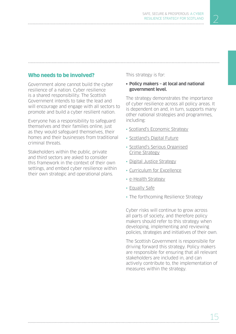#### Who needs to be involved?

Government alone cannot build the cyber resilience of a nation. Cyber resilience is a shared responsibility. The Scottish Government intends to take the lead and will encourage and engage with all sectors to promote and build a cyber resilient nation.

Everyone has a responsibility to safeguard themselves and their families online, just as they would safeguard themselves, their homes and their businesses from traditional criminal threats.

Stakeholders within the public, private and third sectors are asked to consider this framework in the context of their own settings, and embed cyber resilience within their own strategic and operational plans.

#### This strategy is for:

#### **• Policy makers – at local and national government level.**

The strategy demonstrates the importance of cyber resilience across all policy areas. It is dependent on and, in turn, supports many other national strategies and programmes, including:

- [Scotland's Economic Strategy](http://www.gov.scot/Publications/2015/03/5984)
- [Scotland's Digital Future](http://www.gov.scot/resource/doc/981/0114237.pdf)
- [Scotland's Serious Organised](http://www.gov.scot/Publications/2015/06/3426) [Crime Strategy](http://www.gov.scot/Publications/2015/06/3426)
- [Digital Justice Strategy](http://www.gov.scot/Resource/0045/00458026.pdf)
- [Curriculum for Excellence](http://www.educationscotland.gov.uk/learningandteaching/thecurriculum/)
- [e-Health Strategy](http://www.gov.scot/Publications/2012/11/7663)
- [Equally Safe](http://www.gov.scot/Resource/0045/00454152.pdf)
- The forthcoming Resilience Strategy

Cyber risks will continue to grow across all parts of society, and therefore policy makers should refer to this strategy when developing, implementing and reviewing policies, strategies and initiatives of their own.

The Scottish Government is responsibile for driving forward this strategy. Policy makers are responsible for ensuring that all relevant stakeholders are included in, and can actively contribute to, the implementation of measures within the strategy.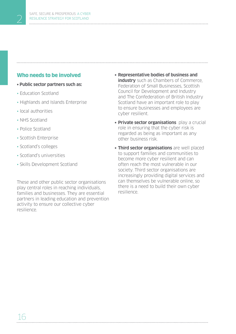### Who needs to be involved

- **Public sector partners such as:**
- Education Scotland
- Highlands and Islands Enterprise
- local authorities
- NHS Scotland
- Police Scotland
- Scottish Enterprise
- Scotland's colleges
- Scotland's universities
- Skills Development Scotland

These and other public sector organisations play central roles in reaching individuals, families and businesses. They are essential partners in leading education and prevention activity to ensure our collective cyber resilience.

- **• Representative bodies of business and industry** such as Chambers of Commerce, Federation of Small Businesses, Scottish Council for Development and Industry and The Confederation of British Industry Scotland have an important role to play to ensure businesses and employees are cyber resilient.
- **• Private sector organisations** play a crucial role in ensuring that the cyber risk is regarded as being as important as any other business risk.
- **• Third sector organisations** are well placed to support families and communities to become more cyber resilient and can often reach the most vulnerable in our society. Third sector organisations are increasingly providing digital services and can themselves be vulnerable online, so there is a need to build their own cyber resilience.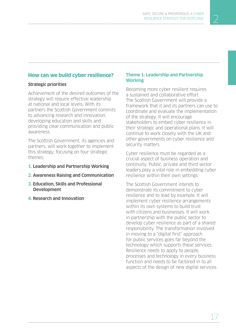#### How can we build cyber resilience?

#### **Strategic priorities**

Achievement of the desired outcomes of the strategy will require effective leadership at national and local levels. With its partners the Scottish Government commits to advancing research and innovation, developing education and skills and providing clear communication and public awareness.

The Scottish Government, its agencies and partners, will work together to implement this strategy, focusing on four strategic themes:

- **1. Leadership and Partnership Working**
- **2. Awareness Raising and Communication**
- **3. Education, Skills and Professional Development**
- **4. Research and Innovation**

#### **Theme 1: Leadership and Partnership Working**

Becoming more cyber resilient requires a sustained and collaborative effort. The Scottish Government will provide a framework that it and its partners can use to coordinate and evaluate the implementation of the strategy. It will encourage stakeholders to embed cyber resilience in their strategic and operational plans. It will continue to work closely with the UK and other governments on cyber resilience and security matters.

Cyber resilience must be regarded as a crucial aspect of business operation and continuity. Public, private and third sector leaders play a vital role in embedding cyber resilience within their own settings.

The Scottish Government intends to demonstrate its commitment to cyber resilience and to lead by example. It will implement cyber resilience arrangements within its own systems to build trust with citizens and businesses. It will work in partnership with the public sector to develop cyber resilience as part of a shared responsibility. The transformation involved in moving to a "digital first" approach for public services goes far beyond the technology which supports these services. Resilience needs to apply to people, processes and technology in every business function and needs to be factored in to all aspects of the design of new digital services.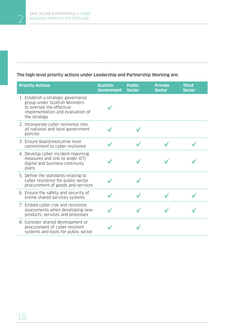#### **The high-level priority actions under Leadership and Partnership Working are:**

| <b>Priority Actions</b>                                                                                                                               | <b>Scottish</b><br><b>Government</b> | <b>Public</b><br><b>Sector</b> | <b>Private</b><br><b>Sector</b> | <b>Third</b><br><b>Sector</b> |
|-------------------------------------------------------------------------------------------------------------------------------------------------------|--------------------------------------|--------------------------------|---------------------------------|-------------------------------|
| 1. Establish a strategic governance<br>group under Scottish Ministers<br>to oversee the effective<br>implementation and evaluation of<br>the strategy |                                      |                                |                                 |                               |
| 2. Incorporate cyber resilience into<br>all national and local government<br>policies                                                                 |                                      |                                |                                 |                               |
| 3. Ensure board/executive level<br>commitment to cyber resilience                                                                                     |                                      |                                |                                 |                               |
| 4. Develop cyber incident reporting<br>measures and link to wider ICT/<br>digital and business continuity<br>plans                                    |                                      |                                |                                 |                               |
| 5. Define the standards relating to<br>cyber resilience for public sector<br>procurement of goods and services                                        |                                      |                                |                                 |                               |
| 6. Ensure the safety and security of<br>online shared services systems                                                                                |                                      |                                |                                 |                               |
| 7. Embed cyber risk and resilience<br>assessments when developing new<br>products, services and processes                                             |                                      |                                |                                 |                               |
| 8. Consider shared development or<br>procurement of cyber resilient<br>systems and tools for public sector                                            |                                      |                                |                                 |                               |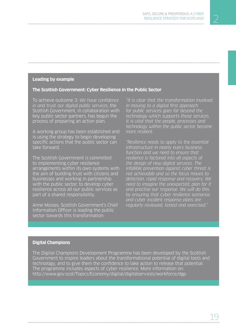#### **Leading by example**

#### **The Scottish Government: Cyber Resilience in the Public Sector**

To achieve outcome 3: We have confidence in and trust our digital public services, the Scottish Government, in collaboration with key public sector partners, has begun the process of preparing an action plan.

A working group has been established and is using the strategy to begin developing specific actions that the public sector can take forward.

The Scottish Government is committed to implementing cyber resilience arrangements within its own systems with the aim of building trust with citizens and businesses and working in partnership with the public sector, to develop cyber resilience across all our public services as part of a shared responsibility.

Anne Moises, Scottish Government's Chief Information Officer is leading the public sector towards this transformation:

"It is clear that the transformation involved in moving to a digital first approach for public services goes far beyond the technology which supports those services. It is vital that the people, processes and technology within the public sector become more resilient.

"Resilience needs to apply to the essential infrastructure in nearly every business function and we need to ensure that resilience is factored into all aspects of the design of new digital services. The infallible prevention against cyber threat is not achievable and so the focus moves to detection, rapid response and recovery. We need to imagine the unexpected, plan for it and practise our response. We will do this by ensuring that cyber resilience scenarios and cyber incident response plans are regularly reviewed, tested and exercised."

#### **Digital Champions**

The Digital Champions Development Programme has been developed by the Scottish Government to inspire leaders about the transformational potential of digital tools and technology, and to give them the confidence to take action to release that potential. The programme includes aspects of cyber resilience. More information on: http://www.gov.scot/Topics/Economy/digital/digitalservices/workforce/dgp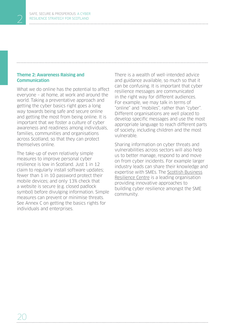#### **Theme 2: Awareness Raising and Communication**

What we do online has the potential to affect everyone – at home, at work and around the world. Taking a preventative approach and getting the cyber basics right goes a long way towards being safe and secure online and getting the most from being online. It is important that we foster a culture of cyber awareness and readiness among individuals, families, communities and organisations across Scotland, so that they can protect themselves online.

The take-up of even relatively simple measures to improve personal cyber resilience is low in Scotland. Just 1 in 12 claim to regularly install software updates; fewer than 1 in 10 password protect their mobile devices; and only 13% check that a website is secure (e.g. closed padlock symbol) before divulging information. Simple measures can prevent or minimise threats. See Annex C on getting the basics rights for individuals and enterprises.

There is a wealth of well-intended advice and guidance available, so much so that it can be confusing. It is important that cyber resilience messages are communicated in the right way for different audiences. For example, we may talk in terms of "online" and "mobiles", rather than "cyber". Different organisations are well placed to develop specific messages and use the most appropriate language to reach different parts of society, including children and the most vulnerable.

Sharing information on cyber threats and vulnerabilities across sectors will also help us to better manage, respond to and move on from cyber incidents. For example larger industry leads can share their knowledge and expertise with SMEs. The [Scottish Business](http://www.sbcc.org.uk/) [Resilience Centre](http://www.sbcc.org.uk/) is a leading organisation providing innovative approaches to building cyber resilience amongst the SME community.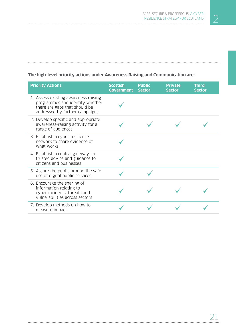**The high-level priority actions under Awareness Raising and Communication are:**

| <b>Priority Actions</b>                                                                                                                    | <b>Scottish</b><br><b>Government</b> | <b>Public</b><br><b>Sector</b> | <b>Private</b><br><b>Sector</b> | <b>Third</b><br><b>Sector</b> |
|--------------------------------------------------------------------------------------------------------------------------------------------|--------------------------------------|--------------------------------|---------------------------------|-------------------------------|
| 1. Assess existing awareness raising<br>programmes and identify whether<br>there are gaps that should be<br>addressed by further campaigns |                                      |                                |                                 |                               |
| 2. Develop specific and appropriate<br>awareness-raising activity for a<br>range of audiences                                              |                                      |                                |                                 |                               |
| 3. Establish a cyber resilience<br>network to share evidence of<br>what works                                                              |                                      |                                |                                 |                               |
| 4. Establish a central gateway for<br>trusted advice and guidance to<br>citizens and businesses                                            |                                      |                                |                                 |                               |
| 5. Assure the public around the safe<br>use of digital public services                                                                     |                                      |                                |                                 |                               |
| 6. Encourage the sharing of<br>information relating to<br>cyber incidents, threats and<br>vulnerabilities across sectors                   |                                      |                                |                                 |                               |
| 7. Develop methods on how to<br>measure impact                                                                                             |                                      |                                |                                 |                               |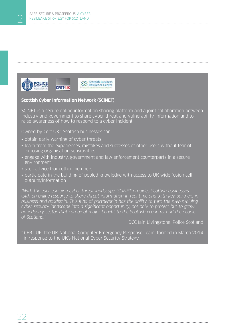

#### **Scottish Cyber Information Network (SCiNET)**

[SCiNET](https://www.cert.gov.uk/cisp/) is a secure online information sharing platform and a joint collaboration between industry and government to share cyber threat and vulnerability information and to raise awareness of how to respond to a cyber incident.

Owned by Cert UK\*, Scottish businesses can:

- obtain early warning of cyber threats
- learn from the experiences, mistakes and successes of other users without fear of exposing organisation sensitivities
- engage with industry, government and law enforcement counterparts in a secure environment
- seek advice from other members
- participate in the building of pooled knowledge with access to UK wide fusion cell outputs/information

"With the ever evolving cyber threat landscape, SCiNET provides Scottish businesses with an online resource to share threat information in real time and with key partners in business and academia. This kind of partnership has the ability to turn the ever-evolving cyber security landscape into a significant opportunity, not only to protect but to grow an industry sector that can be of major benefit to the Scottish economy and the people of Scotland."

DCC Iain Livingstone, Police Scotland

\* CERT UK: the UK National Computer Emergency Response Team, formed in March 2014 in response to the UK's National Cyber Security Strategy.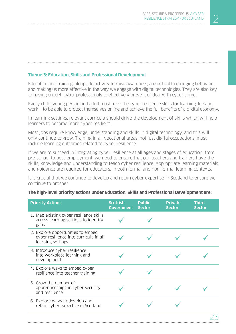#### **Theme 3: Education, Skills and Professional Development**

Education and training, alongside activity to raise awareness, are critical to changing behaviour and making us more effective in the way we engage with digital technologies. They are also key to having enough cyber professionals to effectively prevent or deal with cyber crime.

Every child, young person and adult must have the cyber resilience skills for learning, life and work – to be able to protect themselves online and achieve the full benefits of a digital economy.

In learning settings, relevant curricula should drive the development of skills which will help learners to become more cyber resilient.

Most jobs require knowledge, understanding and skills in digital technology, and this will only continue to grow. Training in all vocational areas, not just digital occupations, must include learning outcomes related to cyber resilience.

If we are to succeed in integrating cyber resilience at all ages and stages of education, from pre-school to post-employment, we need to ensure that our teachers and trainers have the skills, knowledge and understanding to teach cyber resilience. Appropriate learning materials and guidance are required for educators, in both formal and non-formal learning contexts.

It is crucial that we continue to develop and retain cyber expertise in Scotland to ensure we continue to prosper.

#### **The high-level priority actions under Education, Skills and Professional Development are:**

| <b>Priority Actions</b>                                                                          | <b>Scottish</b><br><b>Government</b> | <b>Public</b><br><b>Sector</b> | <b>Private</b><br><b>Sector</b> | <b>Third</b><br><b>Sector</b> |
|--------------------------------------------------------------------------------------------------|--------------------------------------|--------------------------------|---------------------------------|-------------------------------|
| 1. Map existing cyber resilience skills<br>across learning settings to identify<br>gaps          |                                      |                                |                                 |                               |
| 2. Explore opportunities to embed<br>cyber resilience into curricula in all<br>learning settings |                                      |                                |                                 |                               |
| 3. Introduce cyber resilience<br>into workplace learning and<br>development                      |                                      |                                |                                 |                               |
| 4. Explore ways to embed cyber<br>resilience into teacher training                               |                                      |                                |                                 |                               |
| 5. Grow the number of<br>apprenticeships in cyber security<br>and resilience                     |                                      |                                |                                 |                               |
| 6. Explore ways to develop and<br>retain cyber expertise in Scotland                             |                                      |                                |                                 |                               |
|                                                                                                  |                                      |                                |                                 |                               |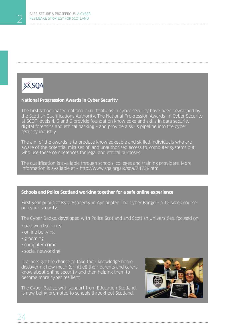

#### **National Progression Awards in Cyber Security**

The first school-based national qualifications in cyber security have been developed by the Scottish Qualifications Authority. The National Progression Awards in Cyber Security at SCQF levels 4, 5 and 6 provide foundation knowledge and skills in data security, digital forensics and ethical hacking – and provide a skills pipeline into the cyber security industry.

The aim of the awards is to produce knowledgeable and skilled individuals who are aware of the potential misuses of, and unauthorised access to, computer systems but who use these competences for legal and ethical purposes.

The qualification is available through schools, colleges and training providers. More information is available at – http://www.sqa.org.uk/sqa/74738.html

#### **Schools and Police Scotland working together for a safe online experience**

First year pupils at Kyle Academy in Ayr piloted The Cyber Badge – a 12-week course on cyber security.

The Cyber Badge, developed with Police Scotland and Scottish Universities, focused on:

- password security
- online bullying
- grooming
- computer crime
- social networking

Learners get the chance to take their knowledge home, discovering how much (or little!) their parents and carers know about online security and then helping them to become more cyber resilient.

The Cyber Badge, with support from Education Scotland, is now being promoted to schools throughout Scotland.

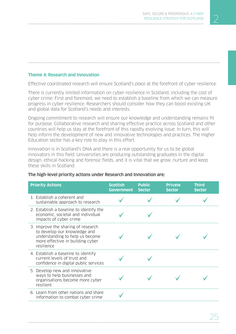#### **Theme 4: Research and Innovation**

Effective coordinated research will ensure Scotland's place at the forefront of cyber resilience.

There is currently limited information on cyber resilience in Scotland, including the cost of cyber crime. First and foremost, we need to establish a baseline from which we can measure progress in cyber resilience. Researchers should consider how they can boost existing UK and global data for Scotland's needs and interests.

Ongoing commitment to research will ensure our knowledge and understanding remains fit for purpose. Collaborative research and sharing effective practice across Scotland and other countries will help us stay at the forefront of this rapidly evolving issue. In turn, this will help inform the development of new and innovative technologies and practices. The Higher Education sector has a key role to play in this effort.

Innovation is in Scotland's DNA and there is a real opportunity for us to be global innovators in this field. Universities are producing outstanding graduates in the digital design, ethical-hacking and forensic fields, and it is vital that we grow, nurture and keep these skills in Scotland.

| <b>Priority Actions</b>                                                                                                                                 | <b>Scottish</b><br><b>Government</b> | <b>Public</b><br><b>Sector</b> | <b>Private</b><br><b>Sector</b> | <b>Third</b><br><b>Sector</b> |
|---------------------------------------------------------------------------------------------------------------------------------------------------------|--------------------------------------|--------------------------------|---------------------------------|-------------------------------|
| 1. Establish a coherent and<br>sustainable approach to research                                                                                         |                                      |                                |                                 |                               |
| 2. Establish a baseline to identify the<br>economic, societal and individual<br>impacts of cyber crime                                                  |                                      |                                |                                 |                               |
| 3. Improve the sharing of research<br>to develop our knowledge and<br>understanding to help us become<br>more effective in building cyber<br>resilience |                                      |                                |                                 |                               |
| 4. Establish a baseline to identify<br>current levels of trust and<br>confidence in digital public services                                             |                                      |                                |                                 |                               |
| 5. Develop new and innovative<br>ways to help businesses and<br>organisations become more cyber<br>resilient                                            |                                      |                                |                                 |                               |
| 6. Learn from other nations and share<br>information to combat cyber crime                                                                              |                                      |                                |                                 |                               |

#### **The high-level priority actions under Research and Innovation are:**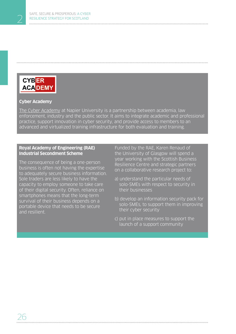

#### **Cyber Academy**

[The Cyber Academy](http://thecyberacademy.org/) at Napier University is a partnership between academia, law enforcement, industry and the public sector. It aims to integrate academic and professional practice, support innovation in cyber security, and provide access to members to an advanced and virtualized training infrastructure for both evaluation and training.

#### **Royal Academy of Engineering (RAE) Industrial Secondment Scheme**

The consequence of being a one-person business is often not having the expertise to adequately secure business information. Sole traders are less likely to have the capacity to employ someone to take care of their digital security. Often, reliance on smartphones means that the long-term survival of their business depends on a portable device that needs to be secure and resilient.

Funded by the RAE, Karen Renaud of the University of Glasgow will spend a year working with the Scottish Business Resilience Centre and strategic partners on a collaborative research project to:

- a) understand the particular needs of solo-SMEs with respect to security in their businesses
- b) develop an information security pack for solo-SMEs, to support them in improving their cyber security
- c) put in place measures to support the launch of a support community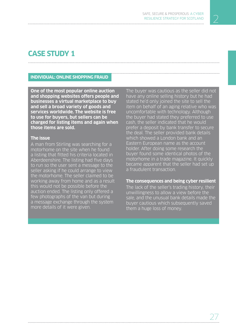#### **INDIVIDUAL: ONLINE SHOPPING FRAUD**

**One of the most popular online auction and shopping websites offers people and businesses a virtual marketplace to buy and sell a broad variety of goods and services worldwide. The website is free to use for buyers, but sellers can be charged for listing items and again when those items are sold.**

#### **The issue**

A man from Stirling was searching for a motorhome on the site when he found a listing that fitted his criteria located in Aberdeenshire. The listing had five days to run so the user sent a message to the seller asking if he could arrange to view the motorhome. The seller claimed to be working away from home and as a result this would not be possible before the auction ended. The listing only offered a few photographs of the van but during a message exchange through the system more details of it were given.

The buyer was cautious as the seller did not have any online selling history but he had stated he'd only joined the site to sell the item on behalf of an aging relative who was uncomfortable with technology. Although the buyer had stated they preferred to use cash, the seller indicated that he would prefer a deposit by bank transfer to secure the deal. The seller provided bank details which showed a London bank and an Eastern European name as the account holder. After doing some research the buyer found some identical photos of the motorhome in a trade magazine. It quickly became apparent that the seller had set up a fraudulent transaction.

#### **The consequences and being cyber resilient**

The lack of the seller's trading history, their unwillingness to allow a view before the sale, and the unusual bank details made the buyer cautious which subsequently saved them a huge loss of money.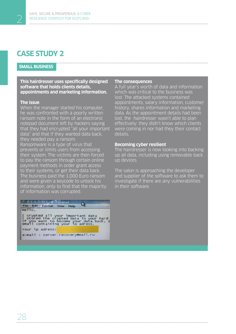**SMALL BUSINESS**

**This hairdresser uses specifically designed software that holds clients details, appointments and marketing information.** 

#### **The issue**

When the manager started his computer, he was confronted with a poorly written ransom note in the form of an electronic notepad document left by hackers saying that they had encrypted "all your important data" and that if they wanted data back, they needed pay a ransom. Ransomware is a type of virus that prevents or limits users from accessing their system. The victims are then forced to pay the ransom through certain online payment methods in order grant access to their systems, or get their data back. The business paid the 1,000 Euro ransom and were given a keycode to unlock his information, only to find that the majority of information was corrupted.

#### **The consequences**

A full year's worth of data and information which was critical to the business was lost. The attacked systems contained appointments, salary information, customer history, shares information and marketing data. As the appointment details had been lost, the hairdresser wasn't able to plan effectively: they didn't know which clients were coming in nor had they their contact details.

#### **Becoming cyber resilient**

The hairdresser is now looking into backing up all data, including using removable back up devices.

The salon is approaching the developer and supplier of the software to ask them to investigate if there are any vulnerabilities in their software.

R-E-A-D-M-E.bd - Notepad  $\mathbb{R}$ File Edit Format View Help Hello, I crypted all your important data<br>I stored the crypted data in your hard<br>If you want to become your data back, s<br>email containing your ip adress. Your ip adress: e-mail : server.recovery@mail.ru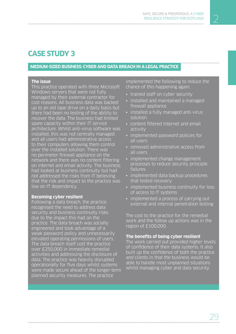#### **MEDIUM-SIZED BUSINESS: CYBER AND DATA BREACH IN A LEGAL PRACTICE**

#### **The issue**

This practice operated with three Microsoft Windows servers that were not fully managed by their external contractor for cost reasons. All business data was backed up to an old tape drive on a daily basis but there had been no testing of the ability to recover the data. The business had limited spare capacity within their IT service architecture. Whilst anti-virus software was installed, this was not centrally managed and all users had administrative access to their computers allowing them control over the installed solution. There was no perimeter firewall appliance on the network and there was no content filtering on internet and email activity. The business had looked at business continuity but had not addressed the risks from IT believing that the risk and impact to the practice was low on IT dependency.

#### **Becoming cyber resilient**

Following a data breach, the practice recognised the need to address data security and business continuity risks due to the impact this had on the practice. The data breach was socially engineered and took advantage of a weak password policy and unnecessarily elevated operating permissions of users. The data breach itself cost the practice over £250,000 in immediate remedial activities and addressing the disclosure of data. The practice was heavily disrupted operationally for five days whilst systems were made secure ahead of the longer-term planned security measures. The practice

implemented the following to reduce the chance of this happening again:

- trained staff on cyber security
- installed and maintained a managed firewall appliance
- installed a fully managed anti-virus solution
- content filtered Internet and email activity
- implemented password policies for all users
- removed administrative access from all users
- implemented change management processes to reduce security principle failures
- implemented data backup procedures that tested recovery
- implemented business continuity for loss of access to IT systems
- implemented a process of carrying out external and internal penetration testing

The cost to the practice for the remedial work and the follow up actions was in the region of £100,000.

#### **The benefits of being cyber resilient**

The work carried out provided higher levels of confidence of their data systems. It also built up the confidence of both the practice and clients in that the business would be able to handle most unplanned situations whilst managing cyber and data security.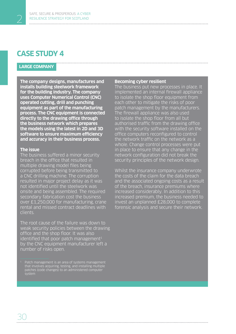#### **LARGE COMPANY**

2

**The company designs, manufactures and installs building steelwork framework for the building industry. The company uses Computer Numerical Control (CNC) operated cutting, drill and punching equipment as part of the manufacturing process. The CNC equipment is connected directly to the drawing office through the business network which prepares the models using the latest in 2D and 3D software to ensure maximum efficiency and accuracy in their business process.** 

#### **The issue**

The business suffered a minor security breach in the office that resulted in multiple drawing model files being corrupted before being transmitted to a CNC drilling machine. The corruption resulted in major project delay as it was not identified until the steelwork was onsite and being assembled. The required secondary fabrication cost the business over £1,250,000 for manufacturing, crane rental and missed contract deadlines with clients.

The root cause of the failure was down to weak security policies between the drawing office and the shop floor. It was also identified that poor patch management<sup>1</sup> by the CNC equipment manufacturer left a number of risks open.

#### **Becoming cyber resilient**

The business put new processes in place. It implemented an internal firewall appliance to isolate the shop floor equipment from each other to mitigate the risks of poor patch management by the manufacturers. The firewall appliance was also used to isolate the shop floor from all but authorised traffic from the drawing office with the security software installed on the office computers reconfigured to control the network traffic on the network as a whole. Change control processes were put in place to ensure that any change in the network configuration did not break the security principles of the network design.

Whilst the insurance company underwrote the costs of the claim for the data breach and the associated ongoing costs as a result of the breach, insurance premiums where increased considerably. In addition to this increased premium, the business needed to invest an unplanned £28,000 to complete forensic analysis and secure their network.

<sup>1</sup> Patch management is an area of systems management that involves acquiring, testing, and installing multiple patches (code changes) to an administered computer system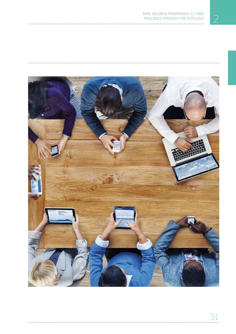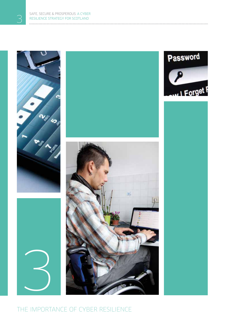







### THE IMPORTANCE OF CYBER RESILIENCE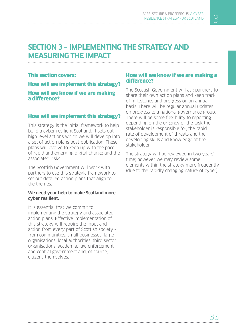### **SECTION 3 – IMPLEMENTING THE STRATEGY AND MEASURING THE IMPACT**

### This section covers:

How will we implement this strategy? How will we know if we are making a difference?

#### How will we implement this strategy?

This strategy is the initial framework to help build a cyber resilient Scotland. It sets out high level actions which we will develop into a set of action plans post-publication. These plans will evolve to keep up with the pace of rapid and emerging digital change and the associated risks.

The Scottish Government will work with partners to use this strategic framework to set out detailed action plans that align to the themes.

#### **We need your help to make Scotland more cyber resilient.**

It is essential that we commit to implementing the strategy and associated action plans. Effective implementation of this strategy will require the input and action from every part of Scottish society – from communities, small businesses, large organisations, local authorities, third sector organisations, academia, law enforcement and central government and, of course, citizens themselves.

#### How will we know if we are making a difference?

The Scottish Government will ask partners to share their own action plans and keep track of milestones and progress on an annual basis. There will be regular annual updates on progress to a national governance group. There will be some flexibility to reporting depending on the urgency of the task the stakeholder is responsible for, the rapid rate of development of threats and the developing skills and knowledge of the stakeholder.

The strategy will be reviewed in two years' time; however we may review some elements within the strategy more frequently (due to the rapidly changing nature of cyber).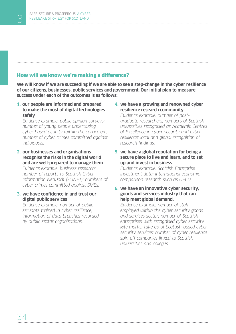### How will we know we're making a difference?

**We will know if we are succeeding if we are able to see a step-change in the cyber resilience of our citizens, businesses, public services and government. Our initial plan to measure success under each of the outcomes is as follows:**

**1. our people are informed and prepared to make the most of digital technologies safely**

Evidence example: public opinion surveys; number of young people undertaking cyber-based activity within the curriculum; number of cyber crimes committed against individuals.

**2. our businesses and organisations recognise the risks in the digital world and are well-prepared to manage them** Evidence example: business research; number of reports to Scottish Cyber Information Network (SCiNET); numbers of cyber crimes committed against SMEs.

#### **3. we have confidence in and trust our digital public services**

Evidence example: number of public servants trained in cyber resilience; information of data breaches recorded by public sector organisations.

- **4. we have a growing and renowned cyber resilience research community** Evidence example: number of postgraduate researchers; numbers of Scottish universities recognised as Academic Centres of Excellence in cyber security and cyber resilience; local and global recognition of research findings.
- **5. we have a global reputation for being a secure place to live and learn, and to set up and invest in business**

Evidence example: Scottish Enterprise investment data; international economic comparison research such as OECD.

#### **6. we have an innovative cyber security, goods and services industry that can help meet global demand.**

Evidence example: number of staff employed within the cyber security goods and services sector; number of Scottish enterprises with recognised cyber security kite marks; take up of Scottish-based cyber security services; number of cyber resilience spin-off companies linked to Scottish universities and colleges.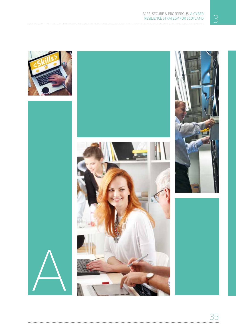





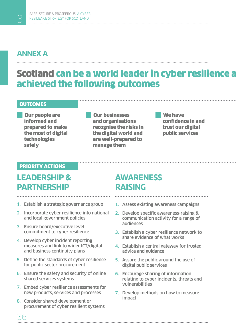# **ANNEX A**

3

# Scotland can be a world leader in cyber resilience a achieved the following outcomes

#### **OUTCOMES**

**Our people are** informed and prepared to make the most of digital technologies safely

 Our businesses and organisations recognise the risks in the digital world and are well-prepared to manage them

 We have confidence in and trust our digital public services

#### PRIORITY ACTIONS

# **LEADERSHIP & PARTNERSHIP**

- 1. Establish a strategic governance group
- 2. Incorporate cyber resilience into national and local government policies
- 3. Ensure board/executive level commitment to cyber resilience
- 4. Develop cyber incident reporting measures and link to wider ICT/digital and business continuity plans
- 5. Define the standards of cyber resilience for public sector procurement
- 6. Ensure the safety and security of online shared services systems
- 7. Embed cyber resilience assessments for new products, services and processes
- 8. Consider shared development or procurement of cyber resilient systems

# **AWARENESS RAISING**

- 1. Assess existing awareness campaigns
- 2. Develop specific awareness-raising & communication activity for a range of audiences
- 3. Establish a cyber resilience network to share evidence of what works
- 4. Establish a central gateway for trusted advice and guidance
- 5. Assure the public around the use of digital public services
- 6. Encourage sharing of information relating to cyber incidents, threats and vulnerabilities
- 7. Develop methods on how to measure impact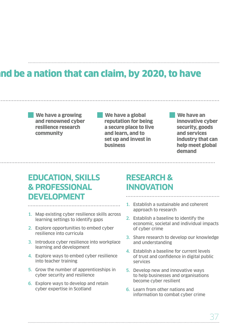# Ind be a nation that can claim, by 2020, to have

 We have a growing and renowned cyber resilience research community

 We have a global reputation for being a secure place to live and learn, and to set up and invest in business

 We have an innovative cyber security, goods and services industry that can help meet global demand

# **EDUCATION, SKILLS & PROFESSIONAL DEVELOPMENT**

- 1. Map existing cyber resilience skills across learning settings to identify gaps
- 2. Explore opportunities to embed cyber resilience into curricula
- 3. Introduce cyber resilience into workplace learning and development
- 4. Explore ways to embed cyber resilience into teacher training
- 5. Grow the number of apprenticeships in cyber security and resilience
- 6. Explore ways to develop and retain cyber expertise in Scotland

# **RESEARCH & INNOVATION**

- 1. Establish a sustainable and coherent approach to research
- 2. Establish a baseline to identify the economic, societal and individual impacts of cyber crime
- 3. Share research to develop our knowledge and understanding
- 4. Establish a baseline for current levels of trust and confidence in digital public services
- 5. Develop new and innovative ways to help businesses and organisations become cyber resilient
- 6. Learn from other nations and information to combat cyber crime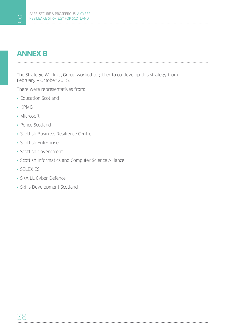# **ANNEX B**

3

....................................

The Strategic Working Group worked together to co-develop this strategy from February – October 2015.

There were representatives from:

- Education Scotland
- KPMG
- Microsoft
- Police Scotland
- Scottish Business Resilience Centre
- Scottish Enterprise
- Scottish Government
- Scottish Informatics and Computer Science Alliance
- SELEX ES
- SKAILL Cyber Defence
- Skills Development Scotland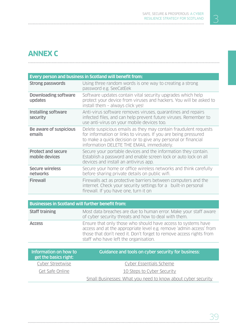## **ANNEX C**

#### **Every person and business in Scotland will benefit from: Strong passwords** Using three random words is one way to creating a strong password e.g. SeeCatEek Downloading software updates Software updates contain vital security upgrades which help protect your device from viruses and hackers. You will be asked to install them – always click yes! Installing software security Anti-virus software removes viruses, quarantines and repairs infected files, and can help prevent future viruses. Remember to use anti-virus on your mobile devices too. Be aware of suspicious emails Delete suspicious emails as they may contain fraudulent requests for information or links to viruses. If you are being pressured to make a quick decision or to give any personal or financial information DELETE THE EMAIL immediately. Protect and secure mobile devices Secure your portable devices and the information they contain. Establish a password and enable screen lock or auto lock on all devices and install an antivirus app. Secure wireless networks Secure your home or office wireless networks and think carefully before sharing private details on public wifi. **Firewall** Firewalls act as protective barriers between computers and the internet. Check your security settings for a built-in personal firewall. If you have one, turn it on

| <b>Businesses in Scotland will further benefit from:</b> |                                                                                                                                                                                                                                                      |
|----------------------------------------------------------|------------------------------------------------------------------------------------------------------------------------------------------------------------------------------------------------------------------------------------------------------|
| <b>Staff training</b>                                    | Most data breaches are due to human error. Make your staff aware<br>of cyber security threats and how to deal with them.                                                                                                                             |
| <b>Access</b>                                            | Ensure that only those who should have access to systems have<br>access and at the appropriate level e.g. remove 'admin access' from<br>those that don't need it. Don't forget to remove access rights from<br>staff who have left the organisation. |
| Information on how to                                    | <b>Guidance and tools on cyber security for business:</b>                                                                                                                                                                                            |
| pet the hasics right.                                    |                                                                                                                                                                                                                                                      |

| get the basics right: | <b>POIDDING MID COUP OIL CYNCI DECOILLY TOI NODIFICION</b>   |
|-----------------------|--------------------------------------------------------------|
| Cyber Streetwise      | Cyber Essentials Scheme                                      |
| Get Safe Online       | 10 Steps to Cyber Security                                   |
|                       | Small Businesses: What you need to know about cyber security |